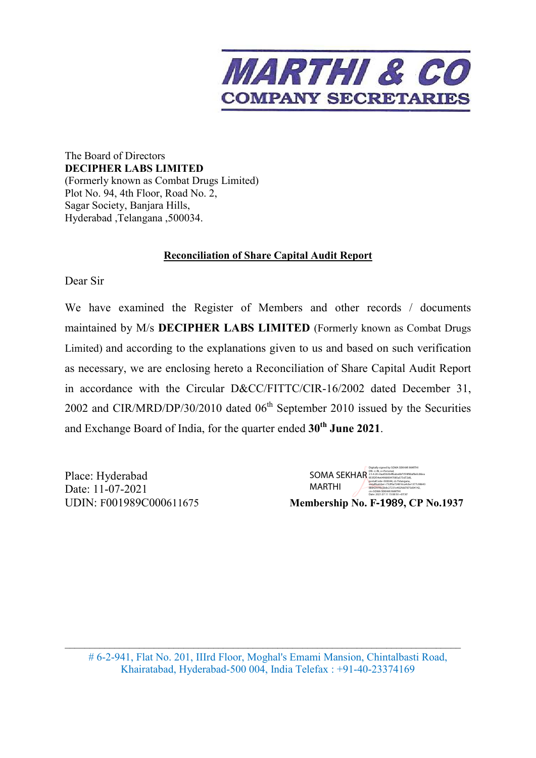

The Board of Directors **DECIPHER LABS LIMITED**  (Formerly known as Combat Drugs Limited) Plot No. 94, 4th Floor, Road No. 2, Sagar Society, Banjara Hills, Hyderabad ,Telangana ,500034.

## **Reconciliation of Share Capital Audit Report**

Dear Sir

We have examined the Register of Members and other records / documents maintained by M/s **DECIPHER LABS LIMITED** (Formerly known as Combat Drugs Limited) and according to the explanations given to us and based on such verification as necessary, we are enclosing hereto a Reconciliation of Share Capital Audit Report in accordance with the Circular D&CC/FITTC/CIR-16/2002 dated December 31, 2002 and CIR/MRD/DP/30/2010 dated  $06<sup>th</sup>$  September 2010 issued by the Securities and Exchange Board of India, for the quarter ended **30th June 2021**.

Place: Hyderabad Date: 11-07-2021

UDIN: F001989C000611675 **Membership No. F**‐1989**, CP No.1937**  $SOMA \ SEKHAR$ <sup> $25,4.20$ =Oast/2.34.20=0a5/20170385a573d72d6,</sup> MARTHI Digitally signed by SOMA SEKHAR MARTHI postalCode=500044, st=Telangana, serialNumber=732f0a724816ca4cbe1377c98643 8884297f9e2b8c27231e402fdd7875d04142, cn=SOMA SEKHAR MARTHI Date: 2021.07.11 15:08:50 +05'30'

\_\_\_\_\_\_\_\_\_\_\_\_\_\_\_\_\_\_\_\_\_\_\_\_\_\_\_\_\_\_\_\_\_\_\_\_\_\_\_\_\_\_\_\_\_\_\_\_\_\_\_\_\_\_\_\_\_\_\_\_\_\_\_\_\_\_\_\_\_\_\_\_\_\_\_\_\_\_\_\_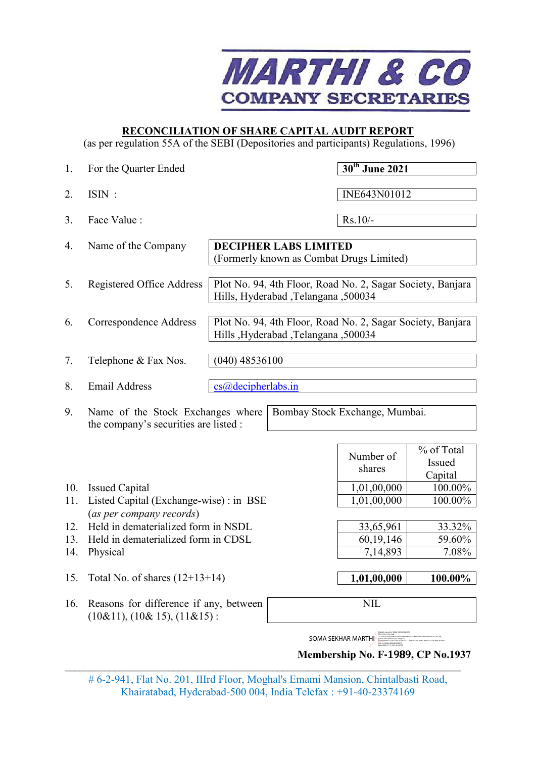

## **RECONCILIATION OF SHARE CAPITAL AUDIT REPORT**

(as per regulation 55A of the SEBI (Depositories and participants) Regulations, 1996)

| 1.  | For the Quarter Ended                                                            |                                        | 30 <sup>th</sup> June 2021                                 |                                 |
|-----|----------------------------------------------------------------------------------|----------------------------------------|------------------------------------------------------------|---------------------------------|
| 2.  | $ISIN$ :                                                                         |                                        | INE643N01012                                               |                                 |
| 3.  | Face Value:                                                                      |                                        | $Rs.10/-$                                                  |                                 |
| 4.  | Name of the Company                                                              | <b>DECIPHER LABS LIMITED</b>           | (Formerly known as Combat Drugs Limited)                   |                                 |
| 5.  | <b>Registered Office Address</b>                                                 | Hills, Hyderabad, Telangana, 500034    | Plot No. 94, 4th Floor, Road No. 2, Sagar Society, Banjara |                                 |
| 6.  | Correspondence Address                                                           | Hills , Hyderabad , Telangana , 500034 | Plot No. 94, 4th Floor, Road No. 2, Sagar Society, Banjara |                                 |
| 7.  | Telephone & Fax Nos.                                                             | $(040)$ 48536100                       |                                                            |                                 |
| 8.  | <b>Email Address</b>                                                             | cs@decipherlabs.in                     |                                                            |                                 |
| 9.  | Name of the Stock Exchanges where<br>the company's securities are listed :       |                                        | Bombay Stock Exchange, Mumbai.                             |                                 |
|     |                                                                                  |                                        | Number of<br>shares                                        | % of Total<br>Issued<br>Capital |
| 10. | <b>Issued Capital</b>                                                            |                                        | 1,01,00,000                                                | 100.00%                         |
| 11. | Listed Capital (Exchange-wise): in BSE                                           |                                        | 1,01,00,000                                                | 100.00%                         |
|     | (as per company records)                                                         |                                        |                                                            |                                 |
| 12. | Held in dematerialized form in NSDL                                              |                                        | 33,65,961                                                  | 33.32%                          |
| 13. | Held in dematerialized form in CDSL                                              |                                        | 60, 19, 146                                                | 59.60%                          |
| 14. | Physical                                                                         |                                        | 7,14,893                                                   | 7.08%                           |
| 15. | Total No. of shares $(12+13+14)$                                                 |                                        | 1,01,00,000                                                | 100.00%                         |
| 16. | Reasons for difference if any, between<br>$(10\&11)$ , $(10\&15)$ , $(11\&15)$ : |                                        | <b>NIL</b>                                                 |                                 |
|     |                                                                                  |                                        | SOMA SEKHAR MARTHI<br>Membership No. F-1989, CP No.1937    |                                 |

# 6-2-941, Flat No. 201, IIIrd Floor, Moghal's Emami Mansion, Chintalbasti Road, Khairatabad, Hyderabad-500 004, India Telefax : +91-40-23374169